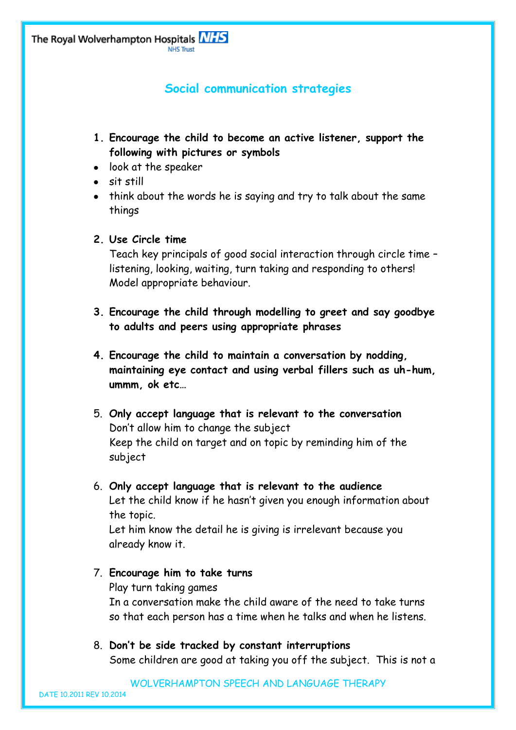## **Social communication strategies**

- **1. Encourage the child to become an active listener, support the following with pictures or symbols**
- look at the speaker
- sit still
- think about the words he is saying and try to talk about the same things

## **2. Use Circle time**

Teach key principals of good social interaction through circle time – listening, looking, waiting, turn taking and responding to others! Model appropriate behaviour.

- **3. Encourage the child through modelling to greet and say goodbye to adults and peers using appropriate phrases**
- **4. Encourage the child to maintain a conversation by nodding, maintaining eye contact and using verbal fillers such as uh-hum, ummm, ok etc…**
- 5. **Only accept language that is relevant to the conversation**  Don't allow him to change the subject Keep the child on target and on topic by reminding him of the subject
- 6. **Only accept language that is relevant to the audience** Let the child know if he hasn't given you enough information about the topic.

Let him know the detail he is giving is irrelevant because you already know it.

## 7. **Encourage him to take turns** Play turn taking games In a conversation make the child aware of the need to take turns so that each person has a time when he talks and when he listens.

8. **Don't be side tracked by constant interruptions** Some children are good at taking you off the subject. This is not a

WOLVERHAMPTON SPEECH AND LANGUAGE THERAPY

DATE 10.2011 REV 10.2014